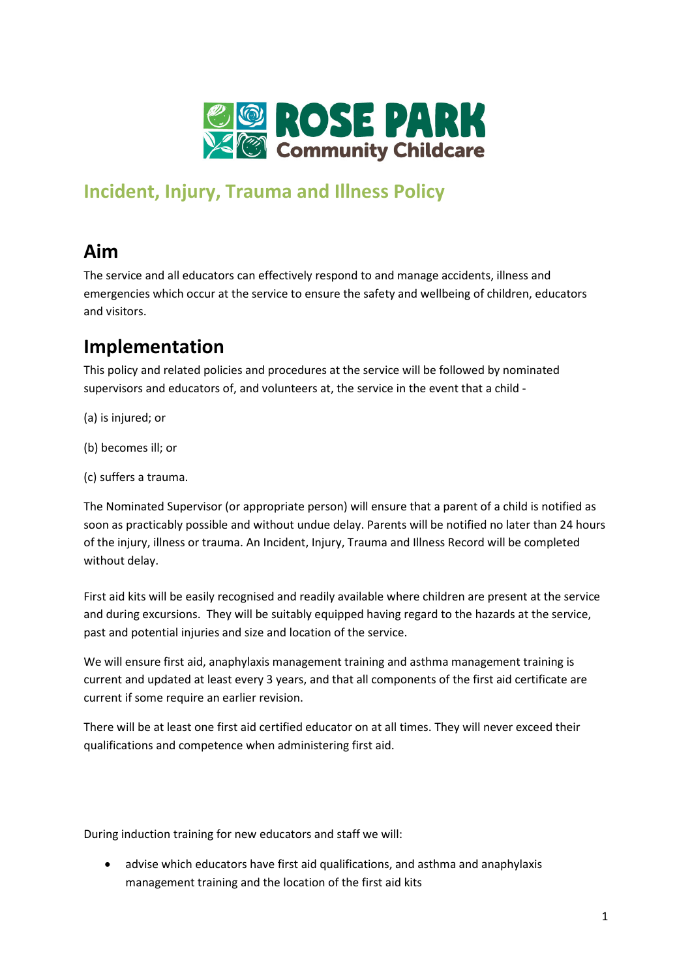

## **Incident, Injury, Trauma and Illness Policy**

# **Aim**

The service and all educators can effectively respond to and manage accidents, illness and emergencies which occur at the service to ensure the safety and wellbeing of children, educators and visitors.

### **Implementation**

This policy and related policies and procedures at the service will be followed by nominated supervisors and educators of, and volunteers at, the service in the event that a child -

- (a) is injured; or
- (b) becomes ill; or
- (c) suffers a trauma.

The Nominated Supervisor (or appropriate person) will ensure that a parent of a child is notified as soon as practicably possible and without undue delay. Parents will be notified no later than 24 hours of the injury, illness or trauma. An Incident, Injury, Trauma and Illness Record will be completed without delay.

First aid kits will be easily recognised and readily available where children are present at the service and during excursions. They will be suitably equipped having regard to the hazards at the service, past and potential injuries and size and location of the service.

We will ensure first aid, anaphylaxis management training and asthma management training is current and updated at least every 3 years, and that all components of the first aid certificate are current if some require an earlier revision.

There will be at least one first aid certified educator on at all times. They will never exceed their qualifications and competence when administering first aid.

During induction training for new educators and staff we will:

• advise which educators have first aid qualifications, and asthma and anaphylaxis management training and the location of the first aid kits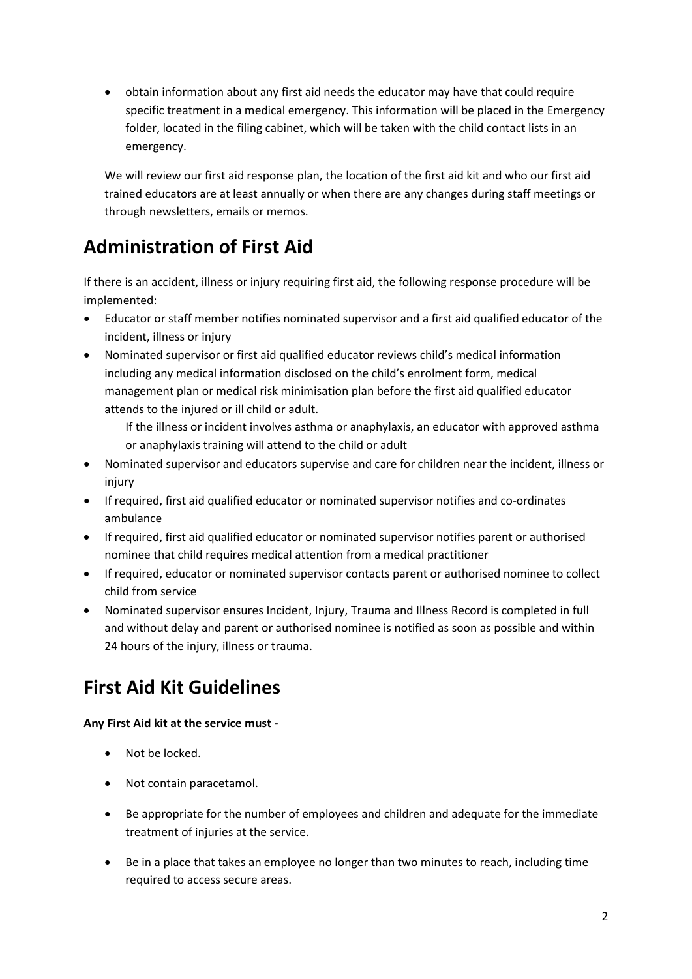• obtain information about any first aid needs the educator may have that could require specific treatment in a medical emergency. This information will be placed in the Emergency folder, located in the filing cabinet, which will be taken with the child contact lists in an emergency.

We will review our first aid response plan, the location of the first aid kit and who our first aid trained educators are at least annually or when there are any changes during staff meetings or through newsletters, emails or memos.

## **Administration of First Aid**

If there is an accident, illness or injury requiring first aid, the following response procedure will be implemented:

- Educator or staff member notifies nominated supervisor and a first aid qualified educator of the incident, illness or injury
- Nominated supervisor or first aid qualified educator reviews child's medical information including any medical information disclosed on the child's enrolment form, medical management plan or medical risk minimisation plan before the first aid qualified educator attends to the injured or ill child or adult.

If the illness or incident involves asthma or anaphylaxis, an educator with approved asthma or anaphylaxis training will attend to the child or adult

- Nominated supervisor and educators supervise and care for children near the incident, illness or injury
- If required, first aid qualified educator or nominated supervisor notifies and co-ordinates ambulance
- If required, first aid qualified educator or nominated supervisor notifies parent or authorised nominee that child requires medical attention from a medical practitioner
- If required, educator or nominated supervisor contacts parent or authorised nominee to collect child from service
- Nominated supervisor ensures Incident, Injury, Trauma and Illness Record is completed in full and without delay and parent or authorised nominee is notified as soon as possible and within 24 hours of the injury, illness or trauma.

## **First Aid Kit Guidelines**

#### **Any First Aid kit at the service must -**

- Not be locked.
- Not contain paracetamol.
- Be appropriate for the number of employees and children and adequate for the immediate treatment of injuries at the service.
- Be in a place that takes an employee no longer than two minutes to reach, including time required to access secure areas.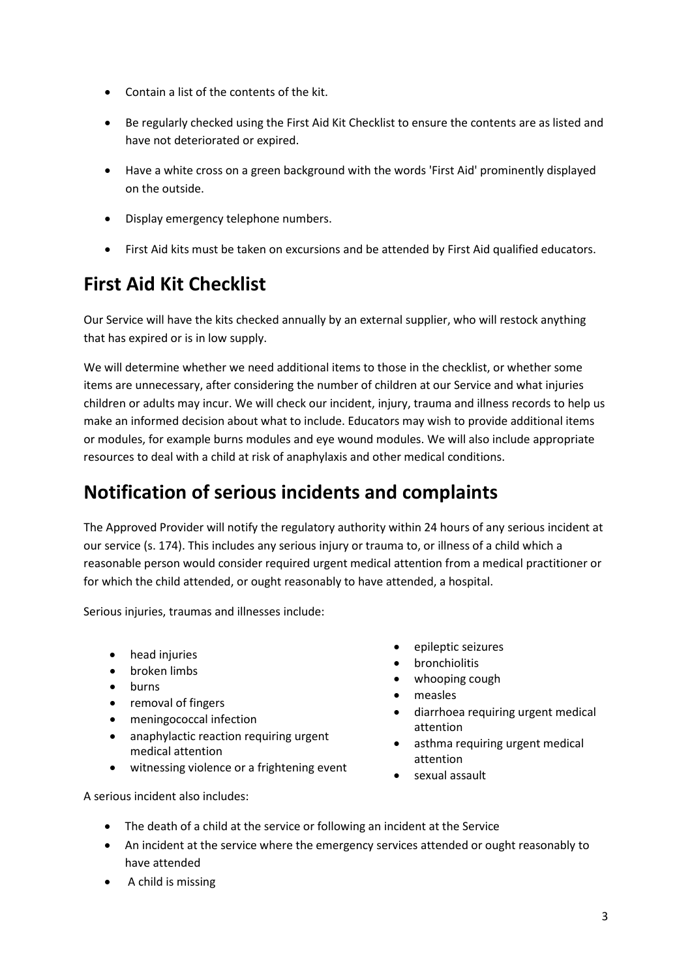- Contain a list of the contents of the kit.
- Be regularly checked using the First Aid Kit Checklist to ensure the contents are as listed and have not deteriorated or expired.
- Have a white cross on a green background with the words 'First Aid' prominently displayed on the outside.
- Display emergency telephone numbers.
- First Aid kits must be taken on excursions and be attended by First Aid qualified educators.

# **First Aid Kit Checklist**

Our Service will have the kits checked annually by an external supplier, who will restock anything that has expired or is in low supply.

We will determine whether we need additional items to those in the checklist, or whether some items are unnecessary, after considering the number of children at our Service and what injuries children or adults may incur. We will check our incident, injury, trauma and illness records to help us make an informed decision about what to include. Educators may wish to provide additional items or modules, for example burns modules and eye wound modules. We will also include appropriate resources to deal with a child at risk of anaphylaxis and other medical conditions.

### **Notification of serious incidents and complaints**

The Approved Provider will notify the regulatory authority within 24 hours of any serious incident at our service (s. 174). This includes any serious injury or trauma to, or illness of a child which a reasonable person would consider required urgent medical attention from a medical practitioner or for which the child attended, or ought reasonably to have attended, a hospital.

Serious injuries, traumas and illnesses include:

- head injuries
- broken limbs
- burns
- removal of fingers
- meningococcal infection
- anaphylactic reaction requiring urgent medical attention
- witnessing violence or a frightening event
- epileptic seizures
- bronchiolitis
- whooping cough
- measles
- diarrhoea requiring urgent medical attention
- asthma requiring urgent medical attention
- sexual assault

A serious incident also includes:

- The death of a child at the service or following an incident at the Service
- An incident at the service where the emergency services attended or ought reasonably to have attended
- A child is missing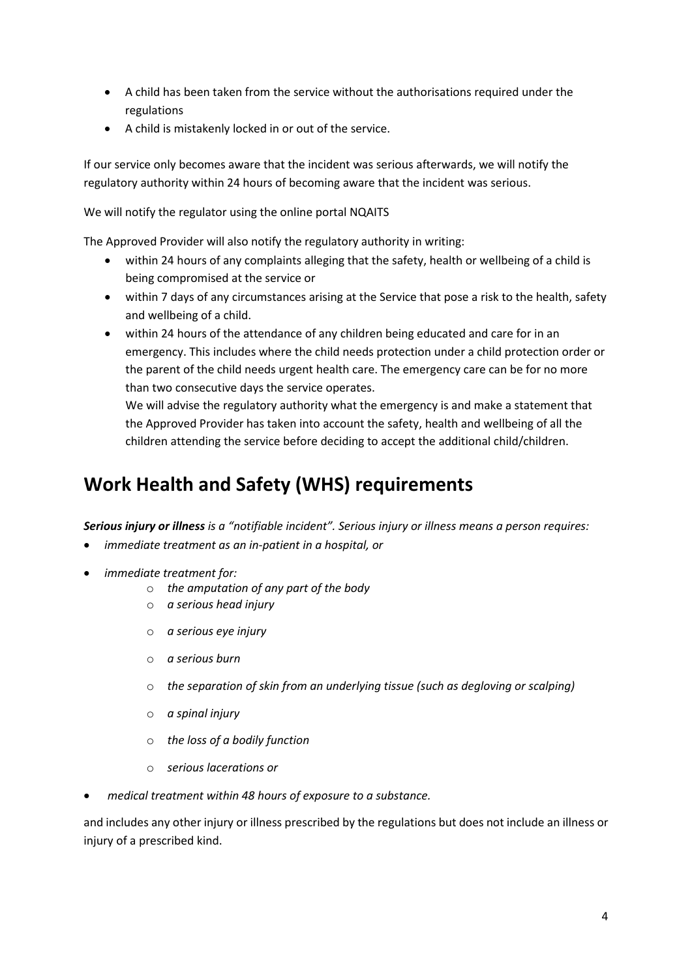- A child has been taken from the service without the authorisations required under the regulations
- A child is mistakenly locked in or out of the service.

If our service only becomes aware that the incident was serious afterwards, we will notify the regulatory authority within 24 hours of becoming aware that the incident was serious.

We will notify the regulator using the online portal NQAITS

The Approved Provider will also notify the regulatory authority in writing:

- within 24 hours of any complaints alleging that the safety, health or wellbeing of a child is being compromised at the service or
- within 7 days of any circumstances arising at the Service that pose a risk to the health, safety and wellbeing of a child.
- within 24 hours of the attendance of any children being educated and care for in an emergency. This includes where the child needs protection under a child protection order or the parent of the child needs urgent health care. The emergency care can be for no more than two consecutive days the service operates.

We will advise the regulatory authority what the emergency is and make a statement that the Approved Provider has taken into account the safety, health and wellbeing of all the children attending the service before deciding to accept the additional child/children.

### **Work Health and Safety (WHS) requirements**

*Serious injury or illness is a "notifiable incident". Serious injury or illness means a person requires:*

- *immediate treatment as an in-patient in a hospital, or*
- *immediate treatment for:*
	- o *the amputation of any part of the body*
	- o *a serious head injury*
	- o *a serious eye injury*
	- o *a serious burn*
	- o *the separation of skin from an underlying tissue (such as degloving or scalping)*
	- o *a spinal injury*
	- o *the loss of a bodily function*
	- o *serious lacerations or*
- *medical treatment within 48 hours of exposure to a substance.*

and includes any other injury or illness prescribed by the regulations but does not include an illness or injury of a prescribed kind.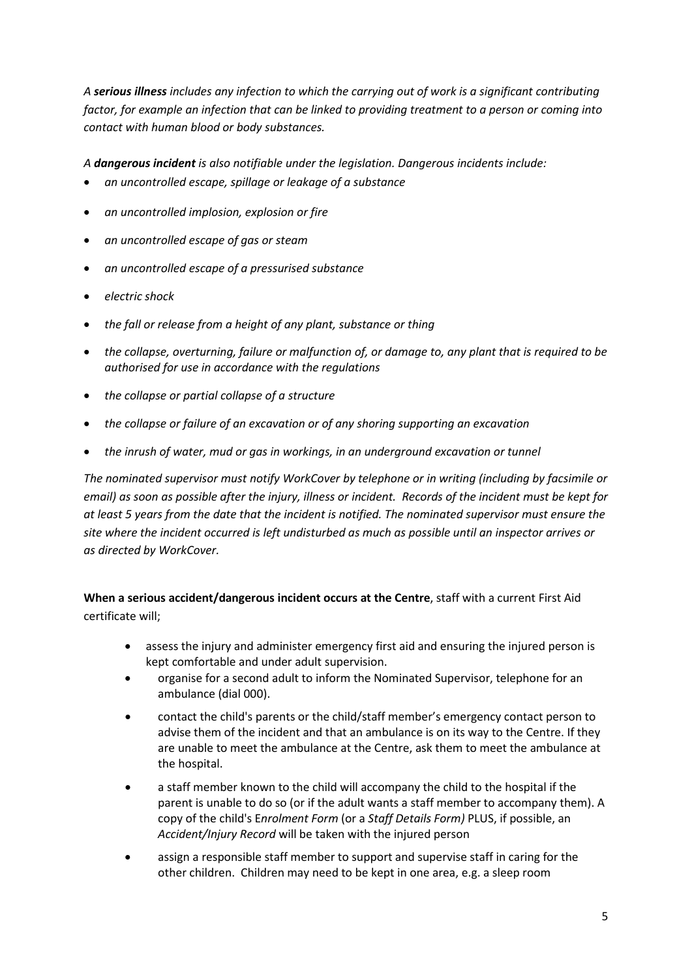*A serious illness includes any infection to which the carrying out of work is a significant contributing factor, for example an infection that can be linked to providing treatment to a person or coming into contact with human blood or body substances.*

*A dangerous incident is also notifiable under the legislation. Dangerous incidents include:*

- *an uncontrolled escape, spillage or leakage of a substance*
- *an uncontrolled implosion, explosion or fire*
- *an uncontrolled escape of gas or steam*
- *an uncontrolled escape of a pressurised substance*
- *electric shock*
- *the fall or release from a height of any plant, substance or thing*
- *the collapse, overturning, failure or malfunction of, or damage to, any plant that is required to be authorised for use in accordance with the regulations*
- *the collapse or partial collapse of a structure*
- *the collapse or failure of an excavation or of any shoring supporting an excavation*
- *the inrush of water, mud or gas in workings, in an underground excavation or tunnel*

*The nominated supervisor must notify WorkCover by telephone or in writing (including by facsimile or email) as soon as possible after the injury, illness or incident. Records of the incident must be kept for at least 5 years from the date that the incident is notified. The nominated supervisor must ensure the site where the incident occurred is left undisturbed as much as possible until an inspector arrives or as directed by WorkCover.* 

**When a serious accident/dangerous incident occurs at the Centre**, staff with a current First Aid certificate will;

- assess the injury and administer emergency first aid and ensuring the injured person is kept comfortable and under adult supervision.
- organise for a second adult to inform the Nominated Supervisor, telephone for an ambulance (dial 000).
- contact the child's parents or the child/staff member's emergency contact person to advise them of the incident and that an ambulance is on its way to the Centre. If they are unable to meet the ambulance at the Centre, ask them to meet the ambulance at the hospital.
- a staff member known to the child will accompany the child to the hospital if the parent is unable to do so (or if the adult wants a staff member to accompany them). A copy of the child's E*nrolment Form* (or a *Staff Details Form)* PLUS, if possible, an *Accident/Injury Record* will be taken with the injured person
- assign a responsible staff member to support and supervise staff in caring for the other children. Children may need to be kept in one area, e.g. a sleep room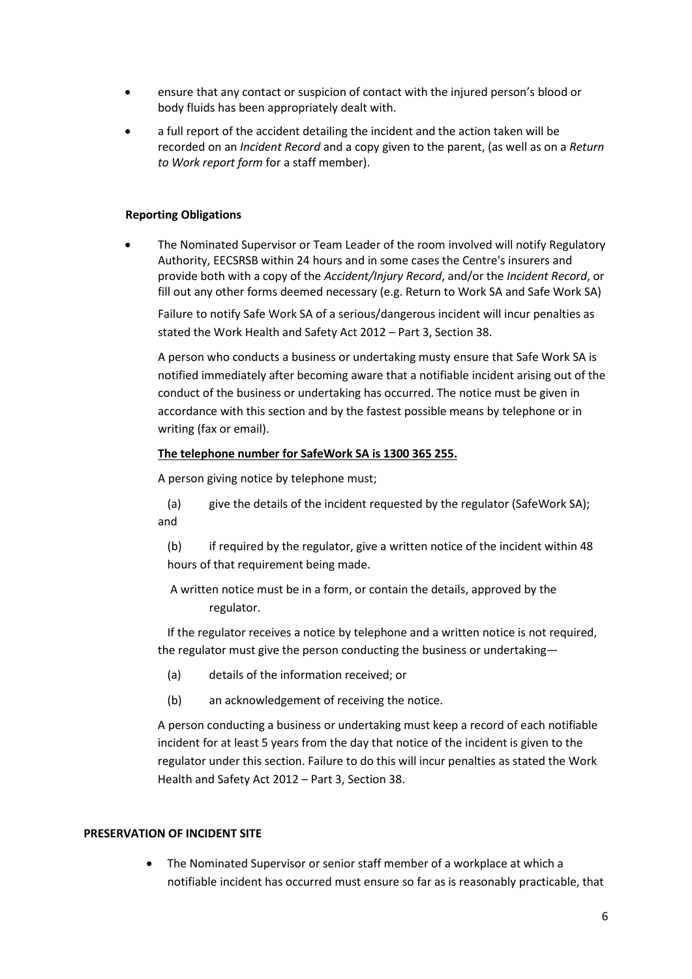- ensure that any contact or suspicion of contact with the injured person's blood or body fluids has been appropriately dealt with.
- a full report of the accident detailing the incident and the action taken will be recorded on an *Incident Record* and a copy given to the parent, (as well as on a *Return to Work report form* for a staff member).

#### **Reporting Obligations**

• The Nominated Supervisor or Team Leader of the room involved will notify Regulatory Authority, EECSRSB within 24 hours and in some cases the Centre's insurers and provide both with a copy of the *Accident/Injury Record*, and/or the *Incident Record*, or fill out any other forms deemed necessary (e.g. Return to Work SA and Safe Work SA)

Failure to notify Safe Work SA of a serious/dangerous incident will incur penalties as stated the Work Health and Safety Act 2012 – Part 3, Section 38.

A person who conducts a business or undertaking musty ensure that Safe Work SA is notified immediately after becoming aware that a notifiable incident arising out of the conduct of the business or undertaking has occurred. The notice must be given in accordance with this section and by the fastest possible means by telephone or in writing (fax or email).

#### **The telephone number for SafeWork SA is 1300 365 255.**

A person giving notice by telephone must;

(a) give the details of the incident requested by the regulator (SafeWork SA); and

(b) if required by the regulator, give a written notice of the incident within 48 hours of that requirement being made.

A written notice must be in a form, or contain the details, approved by the regulator.

If the regulator receives a notice by telephone and a written notice is not required, the regulator must give the person conducting the business or undertaking—

- (a) details of the information received; or
- (b) an acknowledgement of receiving the notice.

A person conducting a business or undertaking must keep a record of each notifiable incident for at least 5 years from the day that notice of the incident is given to the regulator under this section. Failure to do this will incur penalties as stated the Work Health and Safety Act 2012 – Part 3, Section 38.

#### **PRESERVATION OF INCIDENT SITE**

The Nominated Supervisor or senior staff member of a workplace at which a notifiable incident has occurred must ensure so far as is reasonably practicable, that